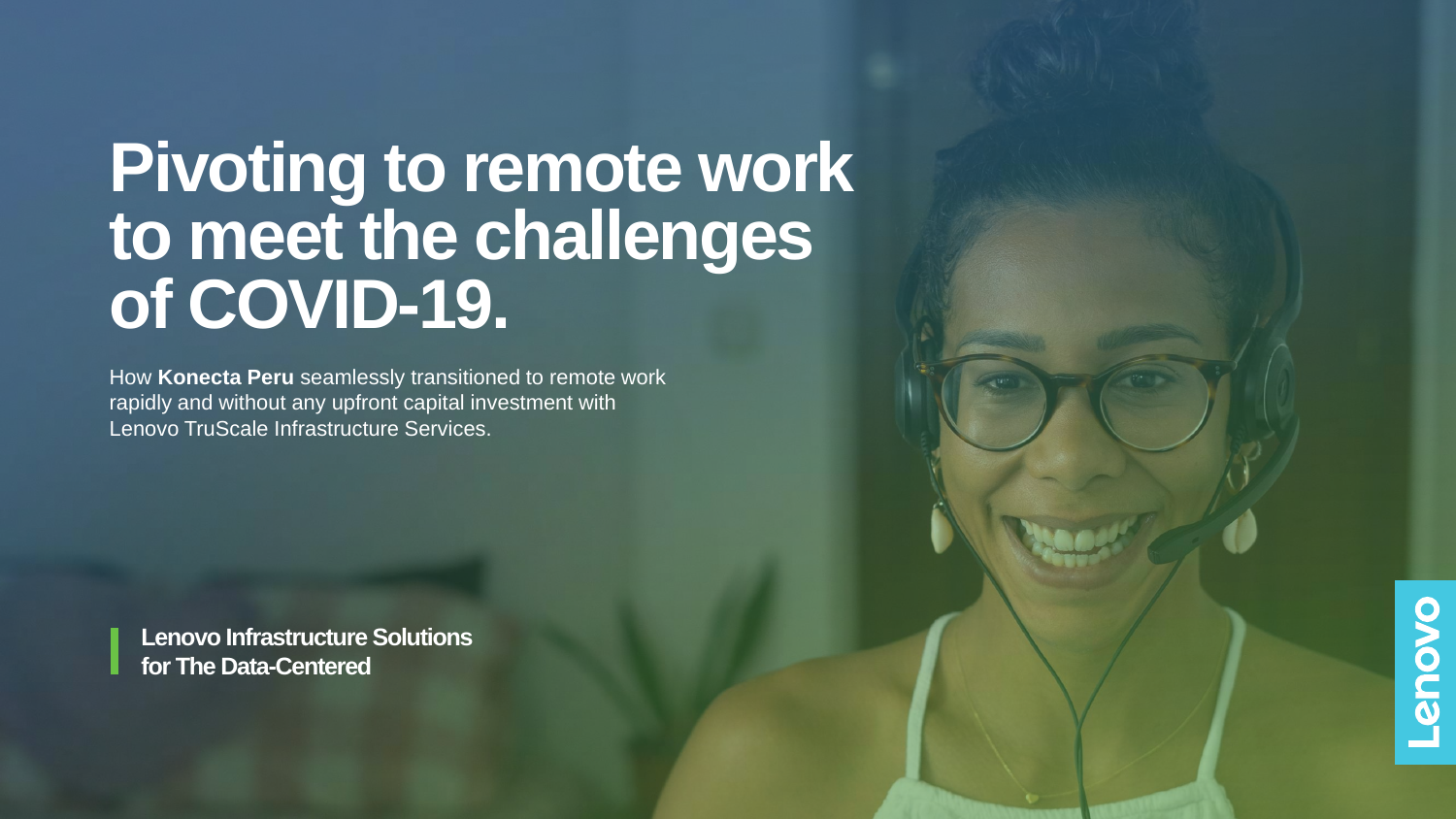# **Pivoting to remote work to meet the challenges of COVID-19.**

How **Konecta Peru** seamlessly transitioned to remote work rapidly and without any upfront capital investment with Lenovo TruScale Infrastructure Services.

**Lenovo Infrastructure Solutions for The Data-Centered**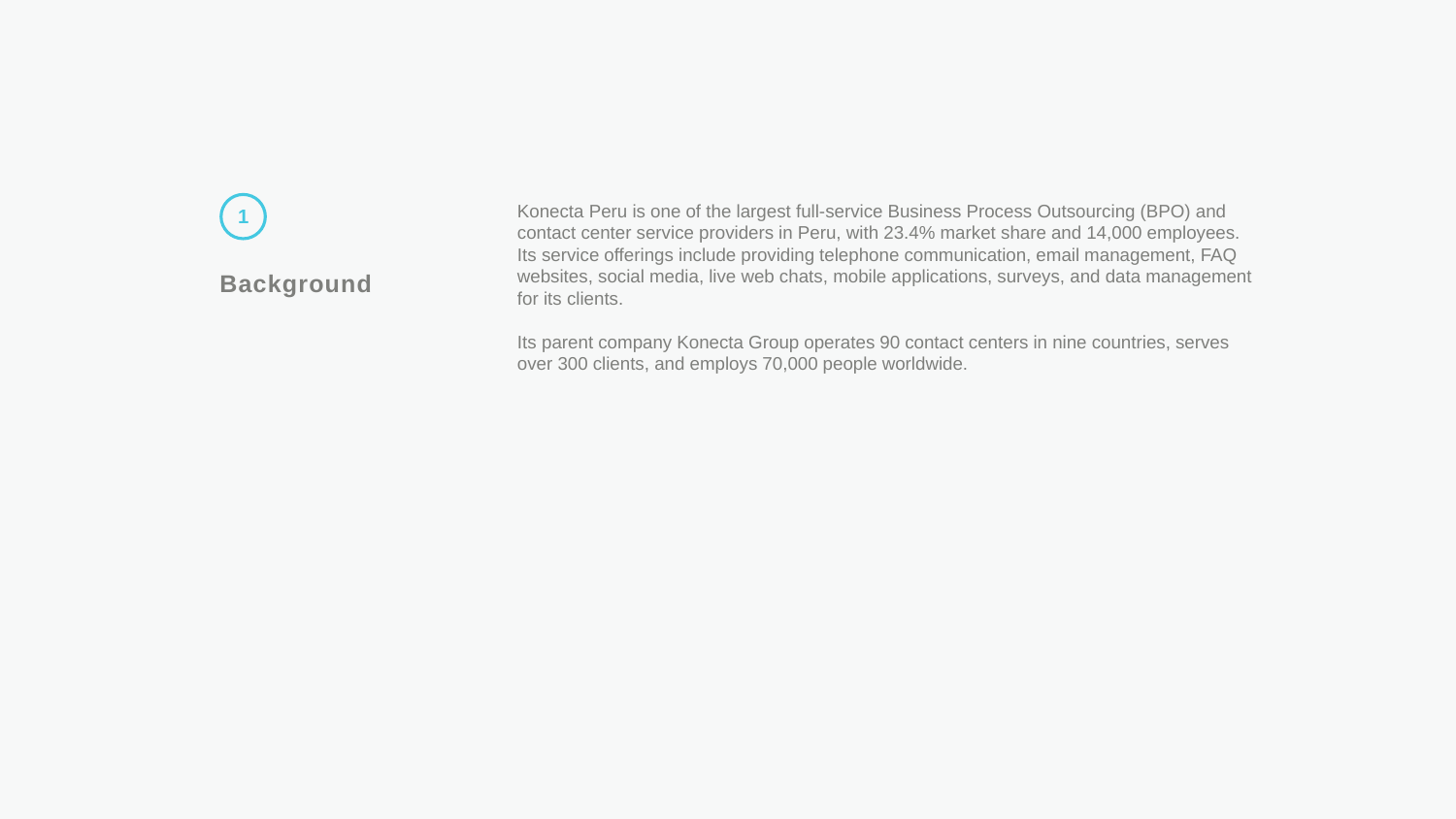### **Background 1**

Konecta Peru is one of the largest full-service Business Process Outsourcing (BPO) and contact center service providers in Peru, with 23.4% market share and 14,000 employees. Its service offerings include providing telephone communication, email management, FAQ websites, social media, live web chats, mobile applications, surveys, and data management for its clients.

Its parent company Konecta Group operates 90 contact centers in nine countries, serves over 300 clients, and employs 70,000 people worldwide.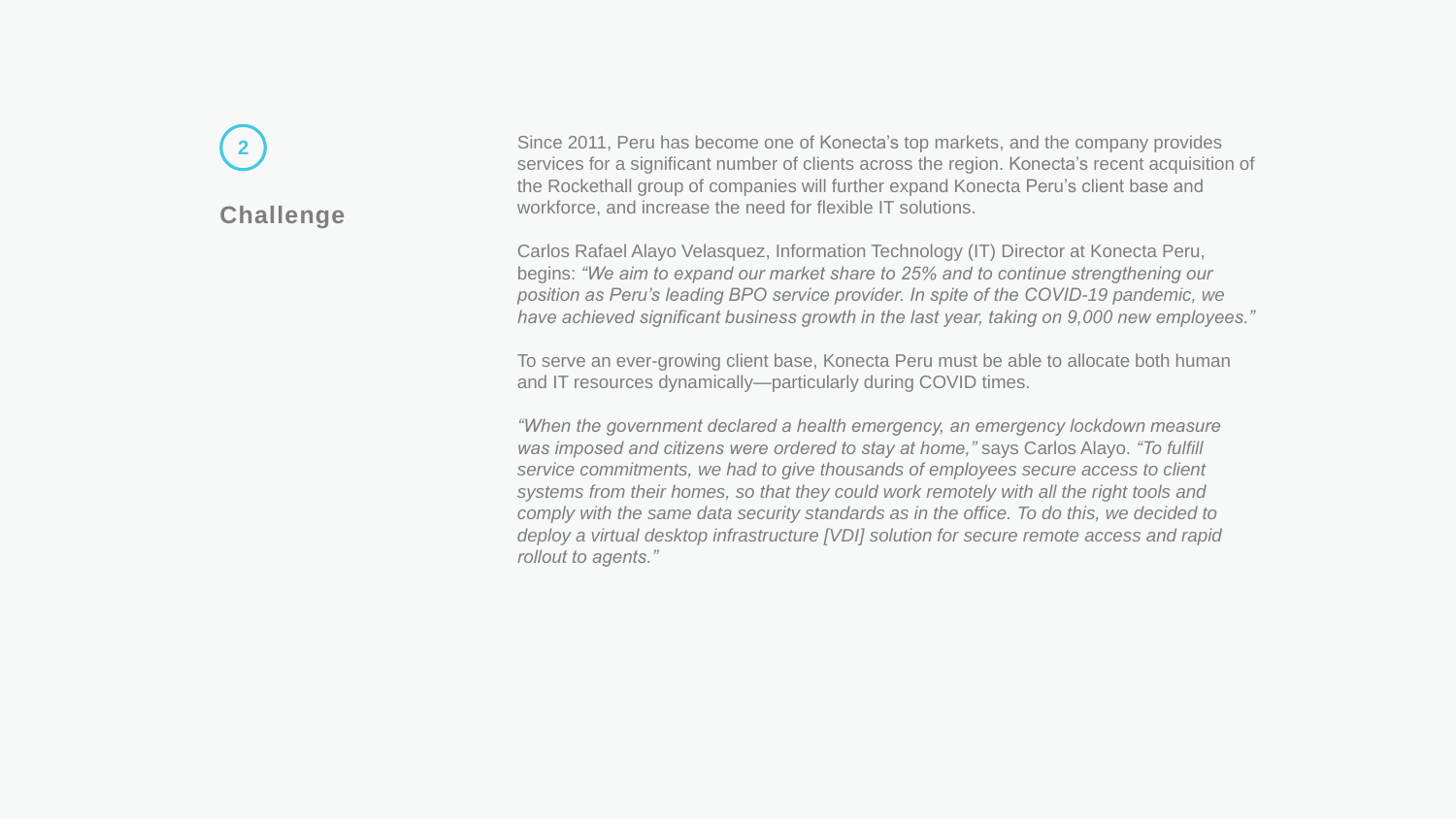### **Challenge**

**2**

Since 2011, Peru has become one of Konecta's top markets, and the company provides services for a significant number of clients across the region. Konecta's recent acquisition of the Rockethall group of companies will further expand Konecta Peru's client base and workforce, and increase the need for flexible IT solutions.

Carlos Rafael Alayo Velasquez, Information Technology (IT) Director at Konecta Peru, begins: *"We aim to expand our market share to 25% and to continue strengthening our position as Peru's leading BPO service provider. In spite of the COVID-19 pandemic, we have achieved significant business growth in the last year, taking on 9,000 new employees."*

To serve an ever-growing client base, Konecta Peru must be able to allocate both human and IT resources dynamically—particularly during COVID times.

*"When the government declared a health emergency, an emergency lockdown measure was imposed and citizens were ordered to stay at home,"* says Carlos Alayo. *"To fulfill service commitments, we had to give thousands of employees secure access to client systems from their homes, so that they could work remotely with all the right tools and comply with the same data security standards as in the office. To do this, we decided to deploy a virtual desktop infrastructure [VDI] solution for secure remote access and rapid rollout to agents."*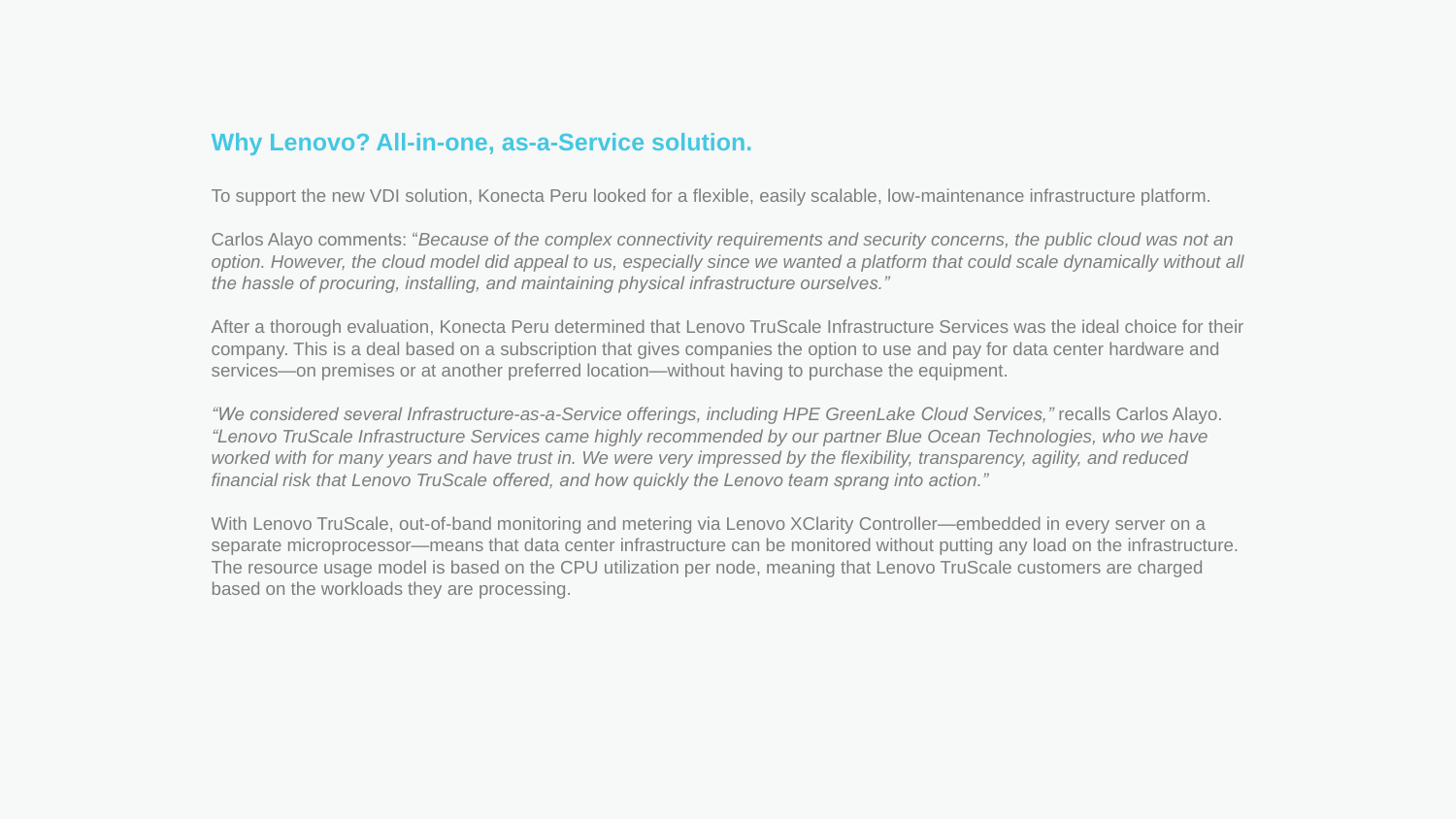#### **Why Lenovo? All-in-one, as-a-Service solution.**

To support the new VDI solution, Konecta Peru looked for a flexible, easily scalable, low-maintenance infrastructure platform.

Carlos Alayo comments: "*Because of the complex connectivity requirements and security concerns, the public cloud was not an option. However, the cloud model did appeal to us, especially since we wanted a platform that could scale dynamically without all the hassle of procuring, installing, and maintaining physical infrastructure ourselves."*

After a thorough evaluation, Konecta Peru determined that Lenovo TruScale Infrastructure Services was the ideal choice for their company. This is a deal based on a subscription that gives companies the option to use and pay for data center hardware and services—on premises or at another preferred location—without having to purchase the equipment.

*"We considered several Infrastructure-as-a-Service offerings, including HPE GreenLake Cloud Services,"* recalls Carlos Alayo. *"Lenovo TruScale Infrastructure Services came highly recommended by our partner Blue Ocean Technologies, who we have worked with for many years and have trust in. We were very impressed by the flexibility, transparency, agility, and reduced financial risk that Lenovo TruScale offered, and how quickly the Lenovo team sprang into action."*

With Lenovo TruScale, out-of-band monitoring and metering via Lenovo XClarity Controller—embedded in every server on a separate microprocessor—means that data center infrastructure can be monitored without putting any load on the infrastructure. The resource usage model is based on the CPU utilization per node, meaning that Lenovo TruScale customers are charged based on the workloads they are processing.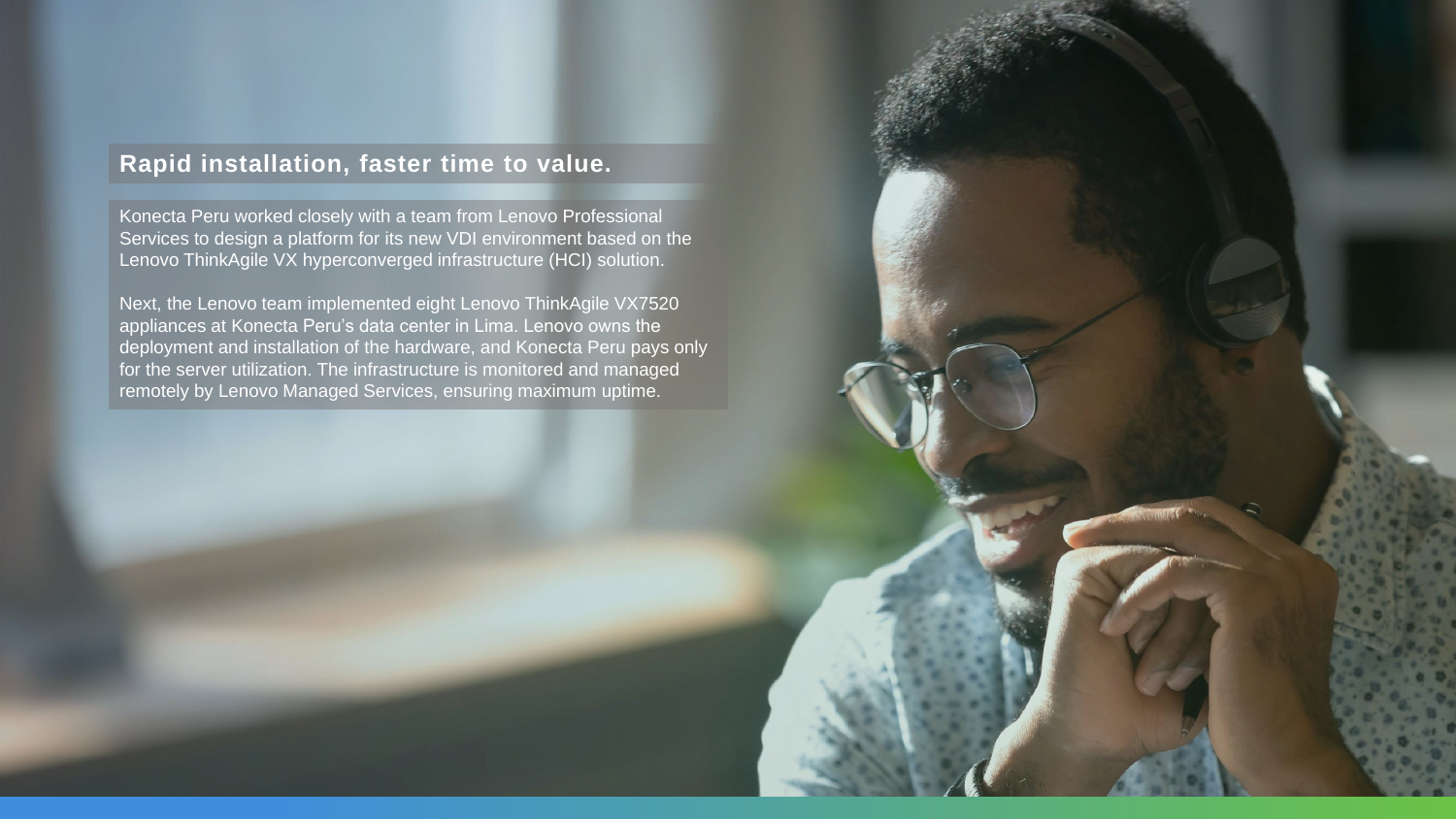#### **Rapid installation, faster time to value.**

Konecta Peru worked closely with a team from Lenovo Professional Services to design a platform for its new VDI environment based on the Lenovo ThinkAgile VX hyperconverged infrastructure (HCI) solution.

Next, the Lenovo team implemented eight Lenovo ThinkAgile VX7520 appliances at Konecta Peru's data center in Lima. Lenovo owns the deployment and installation of the hardware, and Konecta Peru pays only for the server utilization. The infrastructure is monitored and managed remotely by Lenovo Managed Services, ensuring maximum uptime.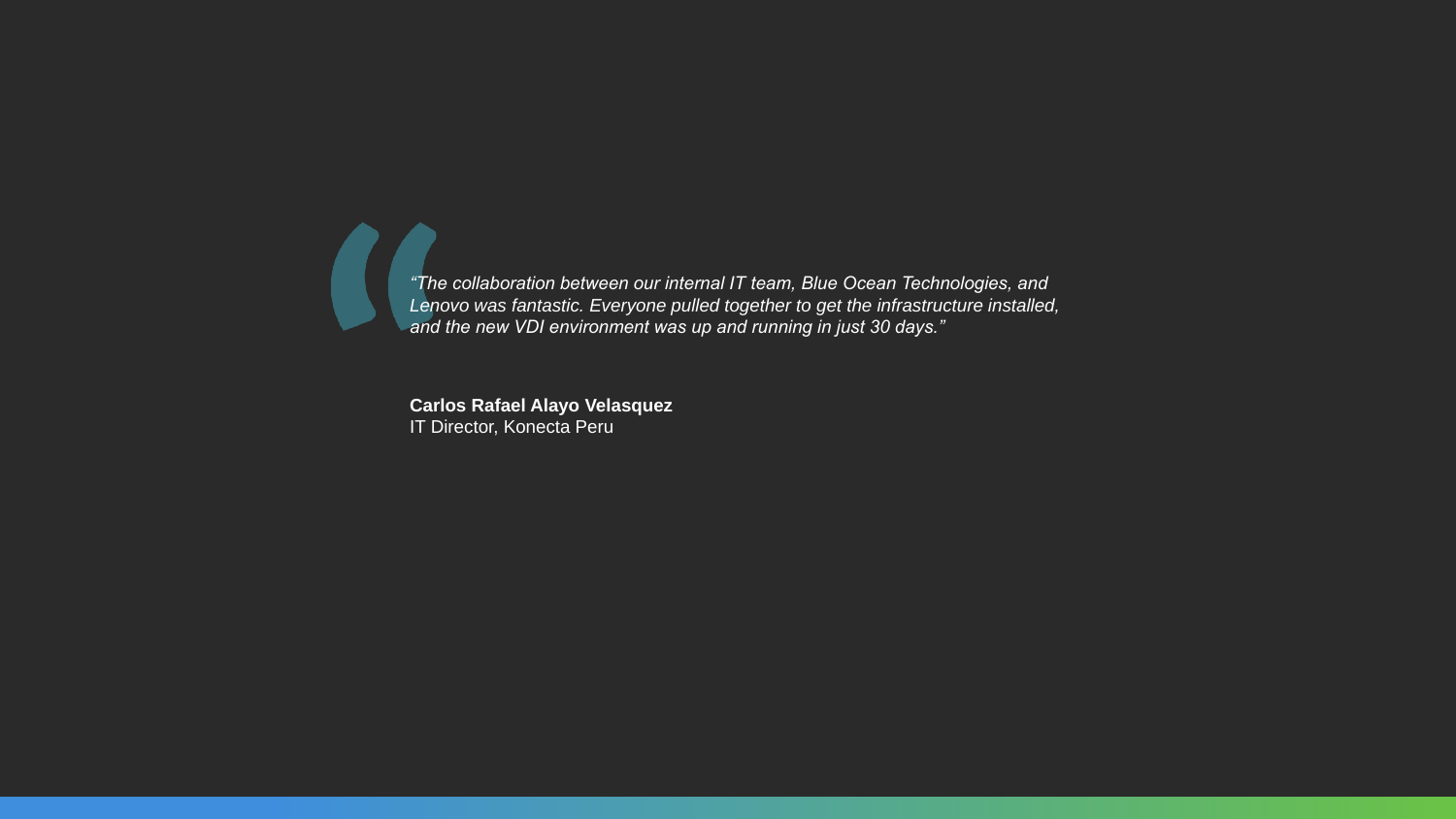$\blacksquare$ *"The collaboration between our internal IT team, Blue Ocean Technologies, and Lenovo was fantastic. Everyone pulled together to get the infrastructure installed, and the new VDI environment was up and running in just 30 days."*

> **Carlos Rafael Alayo Velasquez** IT Director, Konecta Peru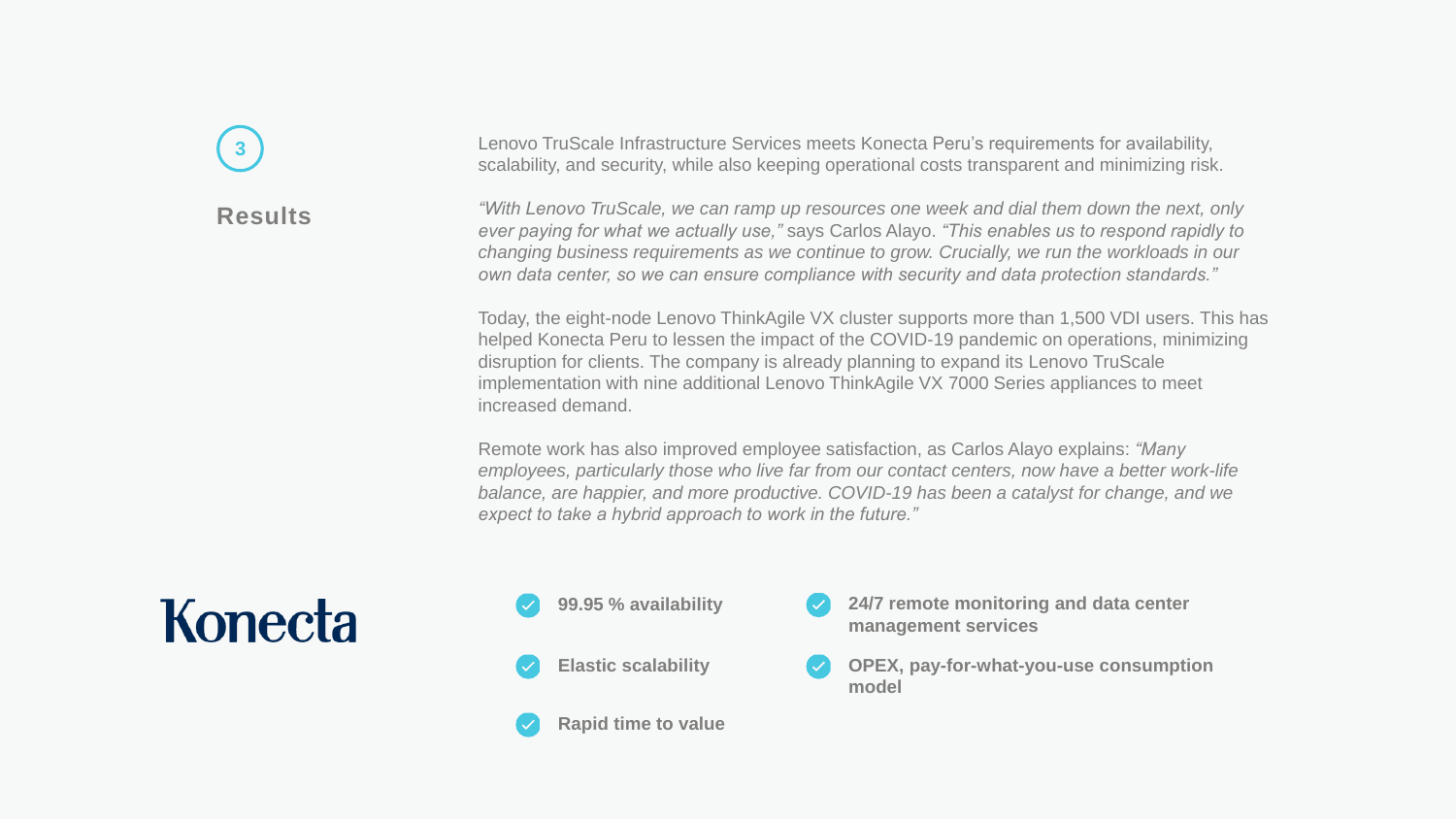## **3**

#### **Results**

Lenovo TruScale Infrastructure Services meets Konecta Peru's requirements for availability, scalability, and security, while also keeping operational costs transparent and minimizing risk.

*"With Lenovo TruScale, we can ramp up resources one week and dial them down the next, only ever paying for what we actually use,"* says Carlos Alayo. *"This enables us to respond rapidly to changing business requirements as we continue to grow. Crucially, we run the workloads in our own data center, so we can ensure compliance with security and data protection standards."*

Today, the eight-node Lenovo ThinkAgile VX cluster supports more than 1,500 VDI users. This has helped Konecta Peru to lessen the impact of the COVID-19 pandemic on operations, minimizing disruption for clients. The company is already planning to expand its Lenovo TruScale implementation with nine additional Lenovo ThinkAgile VX 7000 Series appliances to meet increased demand.

Remote work has also improved employee satisfaction, as Carlos Alayo explains: *"Many employees, particularly those who live far from our contact centers, now have a better work-life balance, are happier, and more productive. COVID-19 has been a catalyst for change, and we expect to take a hybrid approach to work in the future."*

## Konecta



**Rapid time to value**

- **24/7 remote monitoring and data center management services**
- **OPEX, pay-for-what-you-use consumption model**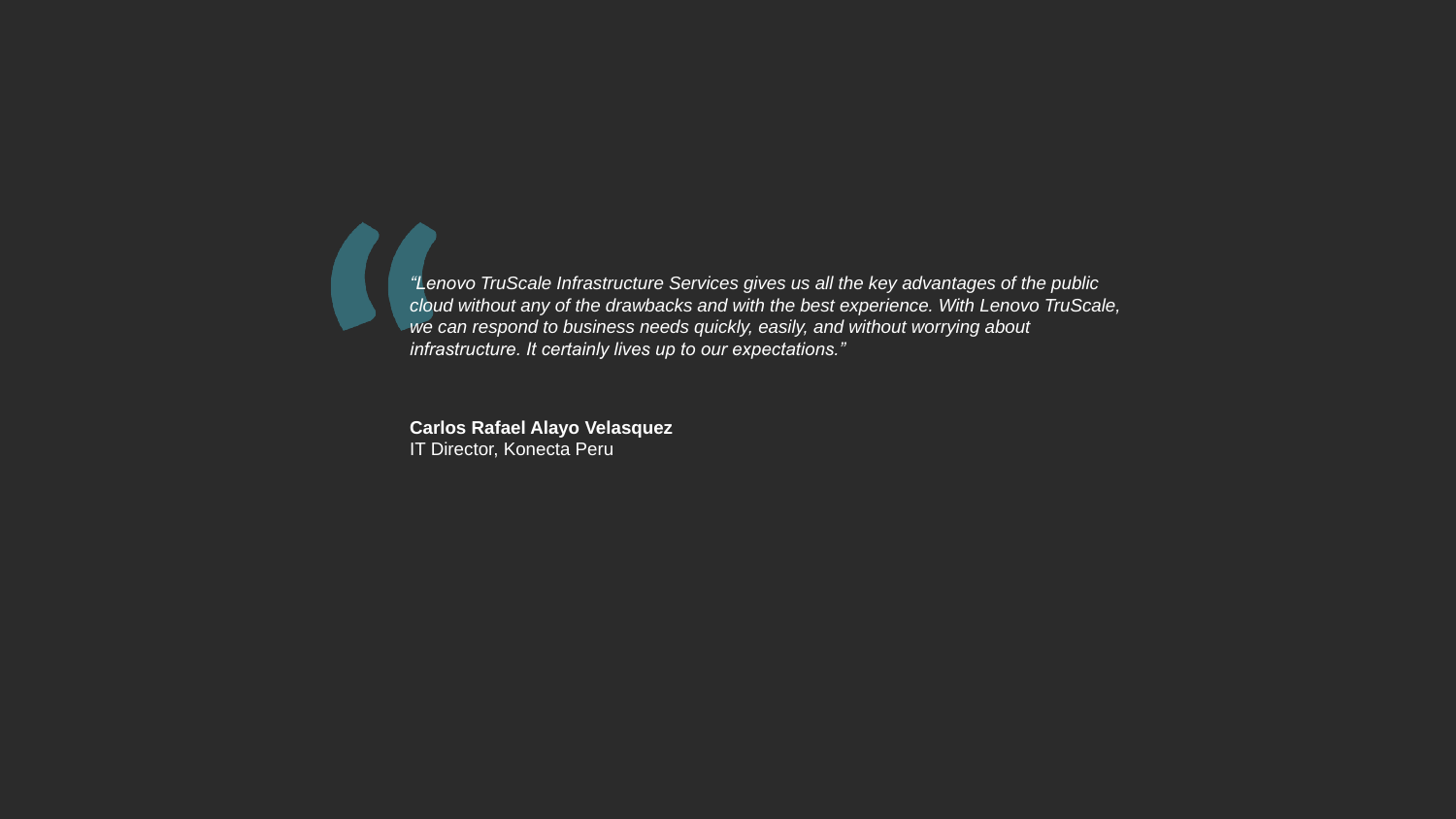*"Lenovo TruScale Infrastructure Services gives us all the key advantages of the public cloud without any of the drawbacks and with the best experience. With Lenovo TruScale, we can respond to business needs quickly, easily, and without worrying about infrastructure. It certainly lives up to our expectations."*

**Carlos Rafael Alayo Velasquez** IT Director, Konecta Peru